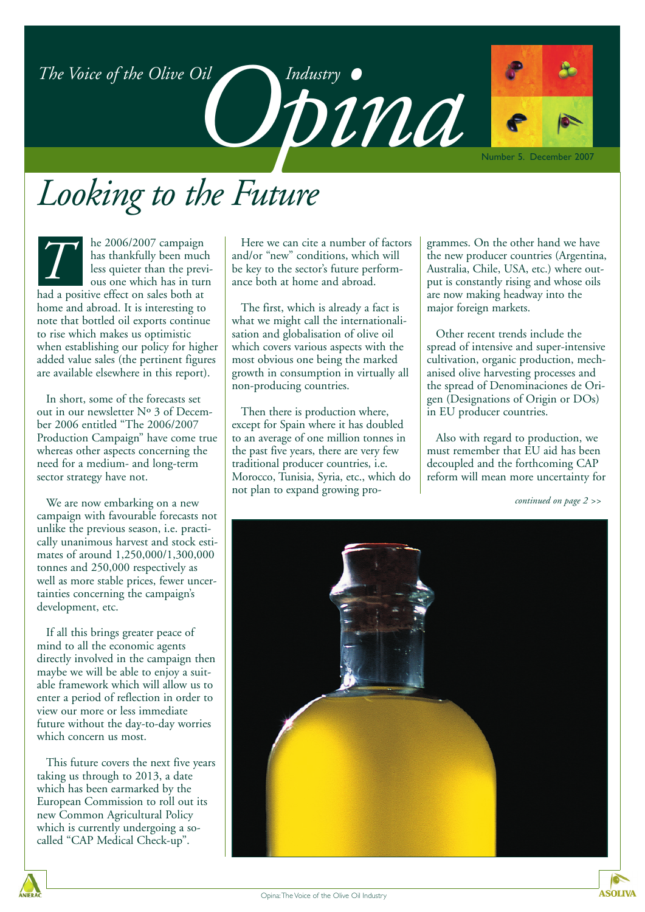*Opinalustry •*<br>DDINU

## *Looking to the Future*

he 2006/2007 campaign has thankfully been much less quieter than the previous one which has in turn had a positive effect on sales both at home and abroad. It is interesting to note that bottled oil exports continue to rise which makes us optimistic when establishing our policy for higher added value sales (the pertinent figures are available elsewhere in this report). *T*

In short, some of the forecasts set out in our newsletter Nº 3 of December 2006 entitled "The 2006/2007 Production Campaign" have come true whereas other aspects concerning the need for a medium- and long-term sector strategy have not.

We are now embarking on a new campaign with favourable forecasts not unlike the previous season, i.e. practically unanimous harvest and stock estimates of around 1,250,000/1,300,000 tonnes and 250,000 respectively as well as more stable prices, fewer uncertainties concerning the campaign's development, etc.

- future without the day-to-day worries If all this brings greater peace of mind to all the economic agents directly involved in the campaign then maybe we will be able to enjoy a suitable framework which will allow us to enter a period of reflection in order to view our more or less immediate which concern us most.

This future covers the next five years taking us through to 2013, a date which has been earmarked by the European Commission to roll out its new Common Agricultural Policy which is currently undergoing a socalled "CAP Medical Check-up".

Here we can cite a number of factors and/or "new" conditions, which will be key to the sector's future performance both at home and abroad.

The first, which is already a fact is what we might call the internationalisation and globalisation of olive oil which covers various aspects with the most obvious one being the marked growth in consumption in virtually all non-producing countries.

Then there is production where, except for Spain where it has doubled to an average of one million tonnes in the past five years, there are very few traditional producer countries, i.e. Morocco, Tunisia, Syria, etc., which do not plan to expand growing programmes. On the other hand we have the new producer countries (Argentina, Australia, Chile, USA, etc.) where output is constantly rising and whose oils are now making headway into the major foreign markets.

Other recent trends include the spread of intensive and super-intensive cultivation, organic production, mechanised olive harvesting processes and the spread of Denominaciones de Origen (Designations of Origin or DOs) in EU producer countries.

Also with regard to production, we must remember that EU aid has been decoupled and the forthcoming CAP reform will mean more uncertainty for

*continued on page 2 >>*

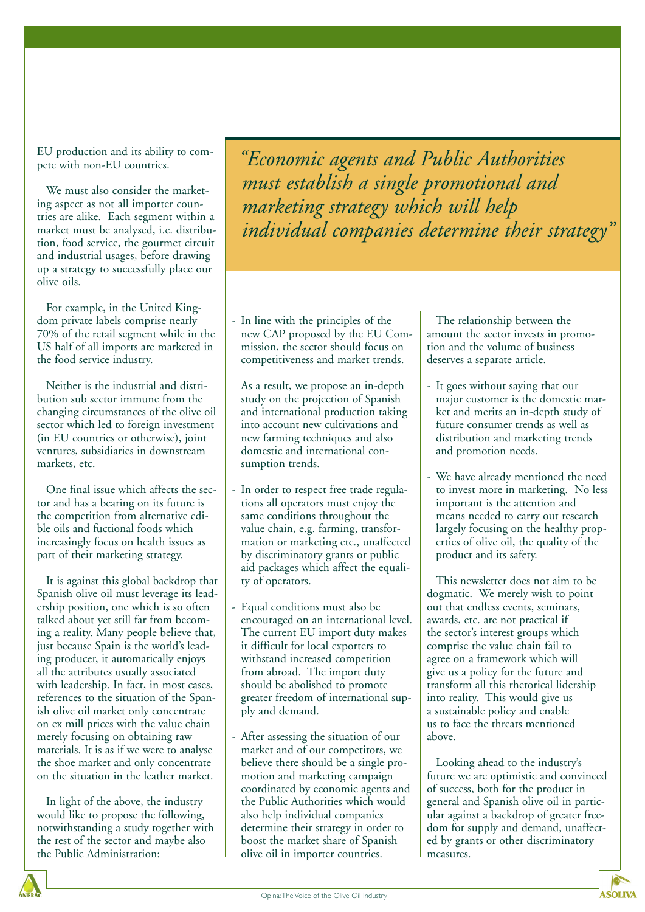EU production and its ability to compete with non-EU countries.

We must also consider the marketing aspect as not all importer countries are alike. Each segment within a market must be analysed, i.e. distribution, food service, the gourmet circuit and industrial usages, before drawing up a strategy to successfully place our olive oils.

For example, in the United Kingdom private labels comprise nearly 70% of the retail segment while in the US half of all imports are marketed in the food service industry.

Neither is the industrial and distribution sub sector immune from the changing circumstances of the olive oil sector which led to foreign investment (in EU countries or otherwise), joint ventures, subsidiaries in downstream markets, etc.

One final issue which affects the sector and has a bearing on its future is the competition from alternative edible oils and fuctional foods which increasingly focus on health issues as part of their marketing strategy.

It is against this global backdrop that Spanish olive oil must leverage its leadership position, one which is so often talked about yet still far from becoming a reality. Many people believe that, just because Spain is the world's leading producer, it automatically enjoys all the attributes usually associated with leadership. In fact, in most cases, references to the situation of the Spanish olive oil market only concentrate on ex mill prices with the value chain merely focusing on obtaining raw materials. It is as if we were to analyse the shoe market and only concentrate on the situation in the leather market.

In light of the above, the industry would like to propose the following, notwithstanding a study together with the rest of the sector and maybe also the Public Administration:

*"Economic agents and Public Authorities must establish a single promotional and marketing strategy which will help individual companies determine their strategy"*

- In line with the principles of the new CAP proposed by the EU Commission, the sector should focus on competitiveness and market trends.

As a result, we propose an in-depth study on the projection of Spanish and international production taking into account new cultivations and new farming techniques and also domestic and international consumption trends.

- In order to respect free trade regulations all operators must enjoy the same conditions throughout the value chain, e.g. farming, transformation or marketing etc., unaffected by discriminatory grants or public aid packages which affect the equality of operators.
- Equal conditions must also be encouraged on an international level. The current EU import duty makes it difficult for local exporters to withstand increased competition from abroad. The import duty should be abolished to promote greater freedom of international supply and demand.
- After assessing the situation of our market and of our competitors, we believe there should be a single promotion and marketing campaign coordinated by economic agents and the Public Authorities which would also help individual companies determine their strategy in order to boost the market share of Spanish olive oil in importer countries.

The relationship between the amount the sector invests in promotion and the volume of business deserves a separate article.

- It goes without saying that our major customer is the domestic market and merits an in-depth study of future consumer trends as well as distribution and marketing trends and promotion needs.
- We have already mentioned the need to invest more in marketing. No less important is the attention and means needed to carry out research largely focusing on the healthy properties of olive oil, the quality of the product and its safety.

This newsletter does not aim to be dogmatic. We merely wish to point out that endless events, seminars, awards, etc. are not practical if the sector's interest groups which comprise the value chain fail to agree on a framework which will give us a policy for the future and transform all this rhetorical lidership into reality. This would give us a sustainable policy and enable us to face the threats mentioned above.

Looking ahead to the industry's future we are optimistic and convinced of success, both for the product in general and Spanish olive oil in particular against a backdrop of greater freedom for supply and demand, unaffected by grants or other discriminatory measures.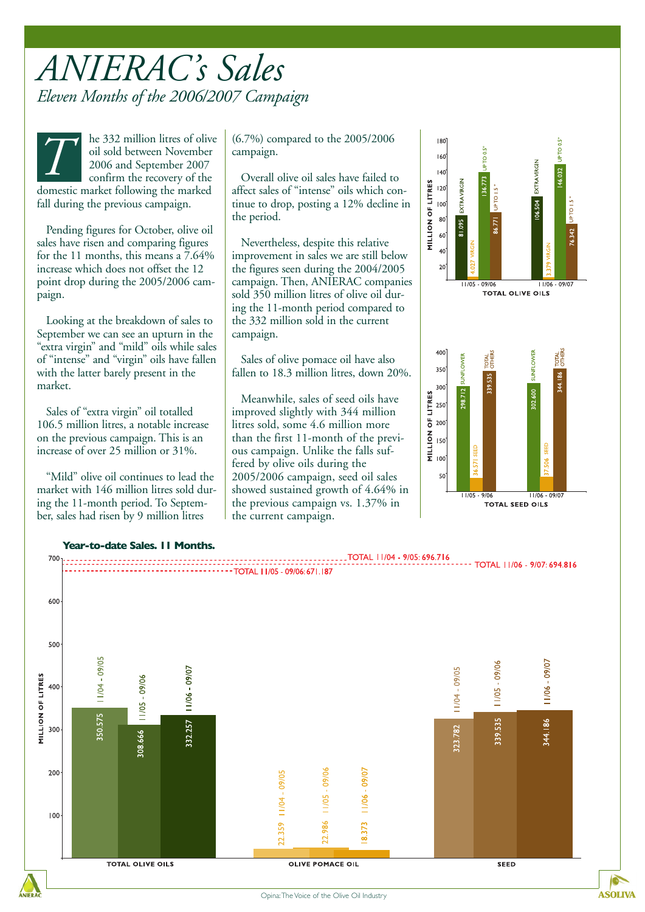### *ANIERAC's Sales Eleven Months of the 2006/2007 Campaign*

he 332 million litres of olive oil sold between November 2006 and September 2007 confirm the recovery of the domestic market following the marked fall during the previous campaign. **The 332 million litres of olive** (6.7%) compared to the 2005/2006<br>oil sold between November<br>2006 and September 2007<br>confirm the recovery of the Coverall olive oil sales have failed to<br> $\frac{1}{2}$ 

Pending figures for October, olive oil sales have risen and comparing figures for the 11 months, this means a 7.64% increase which does not offset the 12 point drop during the 2005/2006 campaign.

Looking at the breakdown of sales to September we can see an upturn in the "extra virgin" and "mild" oils while sales of "intense" and "virgin" oils have fallen with the latter barely present in the market.

Sales of "extra virgin" oil totalled 106.5 million litres, a notable increase on the previous campaign. This is an increase of over 25 million or 31%.

"Mild" olive oil continues to lead the market with 146 million litres sold during the 11-month period. To September, sales had risen by 9 million litres

campaign.

Overall olive oil sales have failed to affect sales of "intense" oils which continue to drop, posting a 12% decline in the period.

Nevertheless, despite this relative improvement in sales we are still below the figures seen during the 2004/2005 campaign. Then, ANIERAC companies sold 350 million litres of olive oil during the 11-month period compared to the 332 million sold in the current campaign.

Sales of olive pomace oil have also fallen to 18.3 million litres, down 20%.

Meanwhile, sales of seed oils have improved slightly with 344 million litres sold, some 4.6 million more than the first 11-month of the previous campaign. Unlike the falls suffered by olive oils during the 2005/2006 campaign, seed oil sales showed sustained growth of 4.64% in the previous campaign vs. 1.37% in the current campaign.



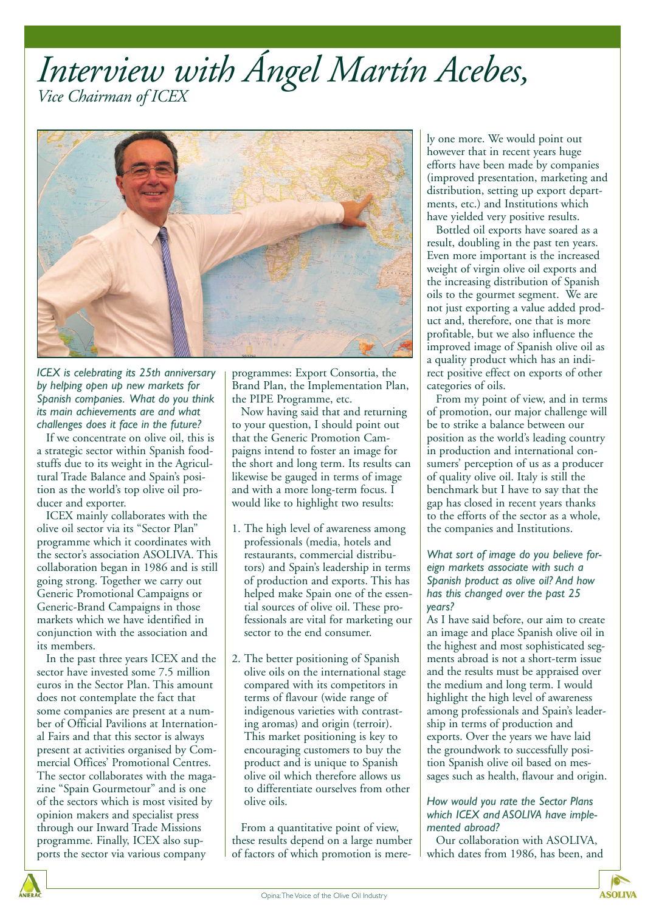### *Interview with Ángel Martín Acebes, Vice Chairman of ICEX*



*ICEX is celebrating its 25th anniversary by helping open up new markets for Spanish companies. What do you think its main achievements are and what challenges does it face in the future?*

If we concentrate on olive oil, this is a strategic sector within Spanish foodstuffs due to its weight in the Agricultural Trade Balance and Spain's position as the world's top olive oil producer and exporter.

ICEX mainly collaborates with the olive oil sector via its "Sector Plan" programme which it coordinates with the sector's association ASOLIVA. This collaboration began in 1986 and is still going strong. Together we carry out Generic Promotional Campaigns or Generic-Brand Campaigns in those markets which we have identified in conjunction with the association and its members.

In the past three years ICEX and the sector have invested some 7.5 million euros in the Sector Plan. This amount does not contemplate the fact that some companies are present at a number of Official Pavilions at International Fairs and that this sector is always present at activities organised by Commercial Offices' Promotional Centres. The sector collaborates with the magazine "Spain Gourmetour" and is one of the sectors which is most visited by opinion makers and specialist press through our Inward Trade Missions programme. Finally, ICEX also supports the sector via various company

programmes: Export Consortia, the Brand Plan, the Implementation Plan, the PIPE Programme, etc.

Now having said that and returning to your question, I should point out that the Generic Promotion Campaigns intend to foster an image for the short and long term. Its results can likewise be gauged in terms of image and with a more long-term focus. I would like to highlight two results:

- 1. The high level of awareness among professionals (media, hotels and restaurants, commercial distributors) and Spain's leadership in terms of production and exports. This has helped make Spain one of the essential sources of olive oil. These professionals are vital for marketing our sector to the end consumer.
- 2. The better positioning of Spanish olive oils on the international stage compared with its competitors in terms of flavour (wide range of indigenous varieties with contrasting aromas) and origin (terroir). This market positioning is key to encouraging customers to buy the product and is unique to Spanish olive oil which therefore allows us to differentiate ourselves from other olive oils.

From a quantitative point of view, these results depend on a large number of factors of which promotion is merely one more. We would point out however that in recent years huge efforts have been made by companies (improved presentation, marketing and distribution, setting up export departments, etc.) and Institutions which have yielded very positive results.

Bottled oil exports have soared as a result, doubling in the past ten years. Even more important is the increased weight of virgin olive oil exports and the increasing distribution of Spanish oils to the gourmet segment. We are not just exporting a value added product and, therefore, one that is more profitable, but we also influence the improved image of Spanish olive oil as a quality product which has an indirect positive effect on exports of other categories of oils.

From my point of view, and in terms of promotion, our major challenge will be to strike a balance between our position as the world's leading country in production and international consumers' perception of us as a producer of quality olive oil. Italy is still the benchmark but I have to say that the gap has closed in recent years thanks to the efforts of the sector as a whole, the companies and Institutions.

### *What sort of image do you believe foreign markets associate with such a Spanish product as olive oil? And how has this changed over the past 25 years?*

As I have said before, our aim to create an image and place Spanish olive oil in the highest and most sophisticated segments abroad is not a short-term issue and the results must be appraised over the medium and long term. I would highlight the high level of awareness among professionals and Spain's leadership in terms of production and exports. Over the years we have laid the groundwork to successfully position Spanish olive oil based on messages such as health, flavour and origin.

### *How would you rate the Sector Plans which ICEX and ASOLIVA have implemented abroad?*

Our collaboration with ASOLIVA, which dates from 1986, has been, and

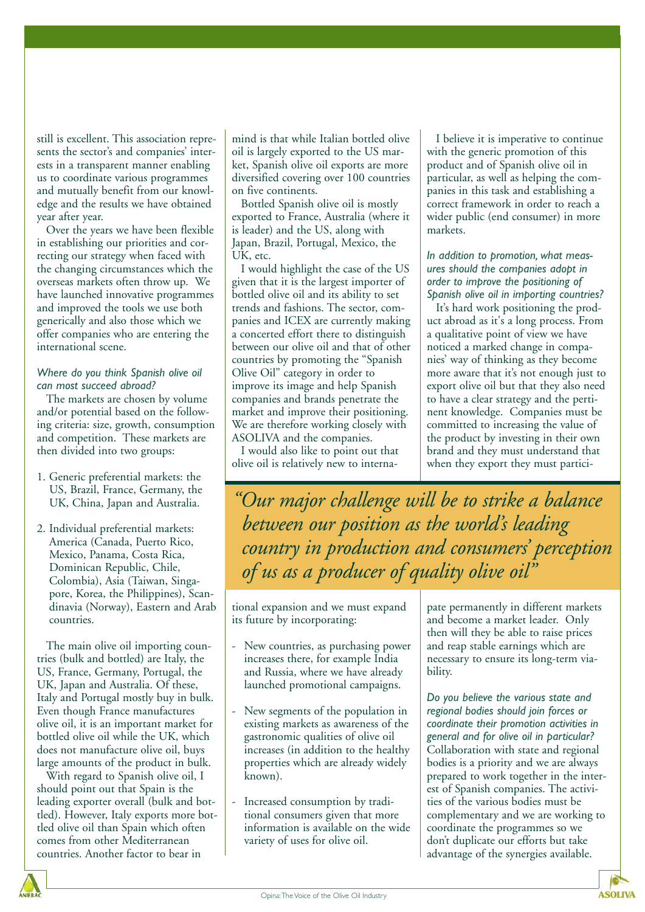still is excellent. This association represents the sector's and companies' interests in a transparent manner enabling us to coordinate various programmes and mutually benefit from our knowledge and the results we have obtained year after year.

Over the years we have been flexible in establishing our priorities and correcting our strategy when faced with the changing circumstances which the overseas markets often throw up. We have launched innovative programmes and improved the tools we use both generically and also those which we offer companies who are entering the international scene.

### *Where do you think Spanish olive oil can most succeed abroad?*

The markets are chosen by volume and/or potential based on the following criteria: size, growth, consumption and competition. These markets are then divided into two groups:

- 1. Generic preferential markets: the US, Brazil, France, Germany, the UK, China, Japan and Australia.
- 2. Individual preferential markets: America (Canada, Puerto Rico, Mexico, Panama, Costa Rica, Dominican Republic, Chile, Colombia), Asia (Taiwan, Singapore, Korea, the Philippines), Scandinavia (Norway), Eastern and Arab countries.

The main olive oil importing countries (bulk and bottled) are Italy, the US, France, Germany, Portugal, the UK, Japan and Australia. Of these, Italy and Portugal mostly buy in bulk. Even though France manufactures olive oil, it is an important market for bottled olive oil while the UK, which does not manufacture olive oil, buys large amounts of the product in bulk.

With regard to Spanish olive oil, I should point out that Spain is the leading exporter overall (bulk and bottled). However, Italy exports more bottled olive oil than Spain which often comes from other Mediterranean countries. Another factor to bear in

mind is that while Italian bottled olive oil is largely exported to the US market, Spanish olive oil exports are more diversified covering over 100 countries on five continents.

Bottled Spanish olive oil is mostly exported to France, Australia (where it is leader) and the US, along with Japan, Brazil, Portugal, Mexico, the UK, etc.

I would highlight the case of the US given that it is the largest importer of bottled olive oil and its ability to set trends and fashions. The sector, companies and ICEX are currently making a concerted effort there to distinguish between our olive oil and that of other countries by promoting the "Spanish Olive Oil" category in order to improve its image and help Spanish companies and brands penetrate the market and improve their positioning. We are therefore working closely with ASOLIVA and the companies.

I would also like to point out that olive oil is relatively new to interna-

I believe it is imperative to continue with the generic promotion of this product and of Spanish olive oil in particular, as well as helping the companies in this task and establishing a correct framework in order to reach a wider public (end consumer) in more markets.

### *In addition to promotion, what measures should the companies adopt in order to improve the positioning of Spanish olive oil in importing countries?*

It's hard work positioning the product abroad as it's a long process. From a qualitative point of view we have noticed a marked change in companies' way of thinking as they become more aware that it's not enough just to export olive oil but that they also need to have a clear strategy and the pertinent knowledge. Companies must be committed to increasing the value of the product by investing in their own brand and they must understand that when they export they must partici-

*"Our major challenge will be to strike a balance between our position as the world's leading country in production and consumers' perception of us as a producer of quality olive oil"*

tional expansion and we must expand its future by incorporating:

- New countries, as purchasing power increases there, for example India and Russia, where we have already launched promotional campaigns.
- New segments of the population in existing markets as awareness of the gastronomic qualities of olive oil increases (in addition to the healthy properties which are already widely known).
- Increased consumption by traditional consumers given that more information is available on the wide variety of uses for olive oil.

pate permanently in different markets and become a market leader. Only then will they be able to raise prices and reap stable earnings which are necessary to ensure its long-term viability.

*Do you believe the various state and regional bodies should join forces or coordinate their promotion activities in general and for olive oil in particular?* Collaboration with state and regional bodies is a priority and we are always prepared to work together in the interest of Spanish companies. The activities of the various bodies must be complementary and we are working to coordinate the programmes so we don't duplicate our efforts but take advantage of the synergies available.

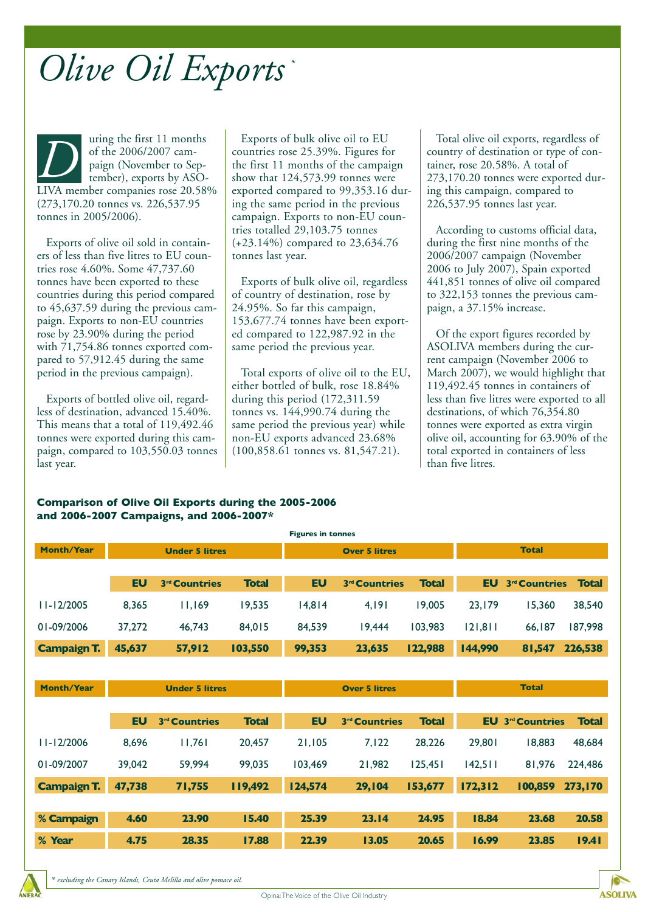# *\* Olive Oil Exports*

uring the first 11 months of the 2006/2007 campaign (November to September), exports by ASO-LIVA member companies rose 20.58% (273,170.20 tonnes vs. 226,537.95 tonnes in 2005/2006). THE TREAT UP of the 2006/2007 campaign (November to Sep-<br>
THE TREAT ON THE CONSERVANCE OF THE CONSERVATION OF THE CONSERVATION OF THE CONSERVATION OF THE CONSERVATION OF THE CONSERVATION OF THE CONSERVATION OF THE CONSERVA

Exports of olive oil sold in containers of less than five litres to EU countries rose 4.60%. Some 47,737.60 tonnes have been exported to these countries during this period compared to 45,637.59 during the previous campaign. Exports to non-EU countries rose by 23.90% during the period with 71,754.86 tonnes exported compared to 57,912.45 during the same period in the previous campaign).

Exports of bottled olive oil, regardless of destination, advanced 15.40%. This means that a total of 119,492.46 tonnes were exported during this campaign, compared to 103,550.03 tonnes last year.

countries rose 25.39%. Figures for the first 11 months of the campaign show that 124,573.99 tonnes were exported compared to 99,353.16 during the same period in the previous campaign. Exports to non-EU countries totalled 29,103.75 tonnes (+23.14%) compared to 23,634.76 tonnes last year.

Exports of bulk olive oil, regardless of country of destination, rose by 24.95%. So far this campaign, 153,677.74 tonnes have been exported compared to 122,987.92 in the same period the previous year.

Total exports of olive oil to the EU, either bottled of bulk, rose 18.84% during this period (172,311.59 tonnes vs. 144,990.74 during the same period the previous year) while non-EU exports advanced 23.68% (100,858.61 tonnes vs. 81,547.21).

Total olive oil exports, regardless of country of destination or type of container, rose 20.58%. A total of 273,170.20 tonnes were exported during this campaign, compared to 226,537.95 tonnes last year.

According to customs official data, during the first nine months of the 2006/2007 campaign (November 2006 to July 2007), Spain exported 441,851 tonnes of olive oil compared to 322,153 tonnes the previous campaign, a 37.15% increase.

Of the export figures recorded by ASOLIVA members during the current campaign (November 2006 to March 2007), we would highlight that 119,492.45 tonnes in containers of less than five litres were exported to all destinations, of which 76,354.80 tonnes were exported as extra virgin olive oil, accounting for 63.90% of the total exported in containers of less than five litres.

### **Comparison of Olive Oil Exports during the 2005-2006 and 2006-2007 Campaigns, and 2006-2007\***

| <b>Figures in tonnes</b> |                       |                           |              |                      |                           |              |              |                           |              |
|--------------------------|-----------------------|---------------------------|--------------|----------------------|---------------------------|--------------|--------------|---------------------------|--------------|
| <b>Month/Year</b>        | <b>Under 5 litres</b> |                           |              | <b>Over 5 litres</b> |                           |              | <b>Total</b> |                           |              |
|                          |                       |                           |              |                      |                           |              |              |                           |              |
|                          | <b>EU</b>             | 3 <sup>rd</sup> Countries | <b>Total</b> | <b>EU</b>            | 3 <sup>rd</sup> Countries | <b>Total</b> | <b>EU</b>    | 3 <sup>rd</sup> Countries | <b>Total</b> |
| $11 - 12/2005$           | 8,365                 | 11,169                    | 19,535       | 14,814               | 4,191                     | 19,005       | 23,179       | 15,360                    | 38,540       |
| 01-09/2006               | 37,272                | 46,743                    | 84,015       | 84,539               | 19,444                    | 103,983      | 121,811      | 66,187                    | 187,998      |
| <b>Campaign T.</b>       | 45,637                | 57,912                    | 103,550      | 99,353               | 23,635                    | 122,988      | 144,990      | 81,547                    | 226,538      |
|                          |                       |                           |              |                      |                           |              |              |                           |              |
| <b>Month/Year</b>        | <b>Under 5 litres</b> |                           |              | <b>Over 5 litres</b> |                           |              | <b>Total</b> |                           |              |
|                          |                       |                           |              |                      |                           |              |              |                           |              |
|                          | <b>EU</b>             | 3 <sup>rd</sup> Countries | <b>Total</b> | <b>EU</b>            | 3 <sup>rd</sup> Countries | <b>Total</b> | <b>EU</b>    | 3 <sup>rd</sup> Countries | <b>Total</b> |
| $11 - 12/2006$           | 8,696                 | 11,761                    | 20,457       | 21,105               | 7,122                     | 28,226       | 29,801       | 18,883                    | 48,684       |
| 01-09/2007               | 39,042                | 59,994                    | 99,035       | 103,469              | 21,982                    | 125,451      | 142,511      | 81,976                    | 224,486      |
| <b>Campaign T.</b>       | 47,738                | 71,755                    | 119,492      | 124,574              | 29,104                    | 153,677      | 172,312      | 100,859                   | 273,170      |
|                          |                       |                           |              |                      |                           |              |              |                           |              |
| % Campaign               | 4.60                  | 23.90                     | 15.40        | 25.39                | 23.14                     | 24.95        | 18.84        | 23.68                     | 20.58        |
| % Year                   | 4.75                  | 28.35                     | 17.88        | 22.39                | 13.05                     | 20.65        | 16.99        | 23.85                     | 19.41        |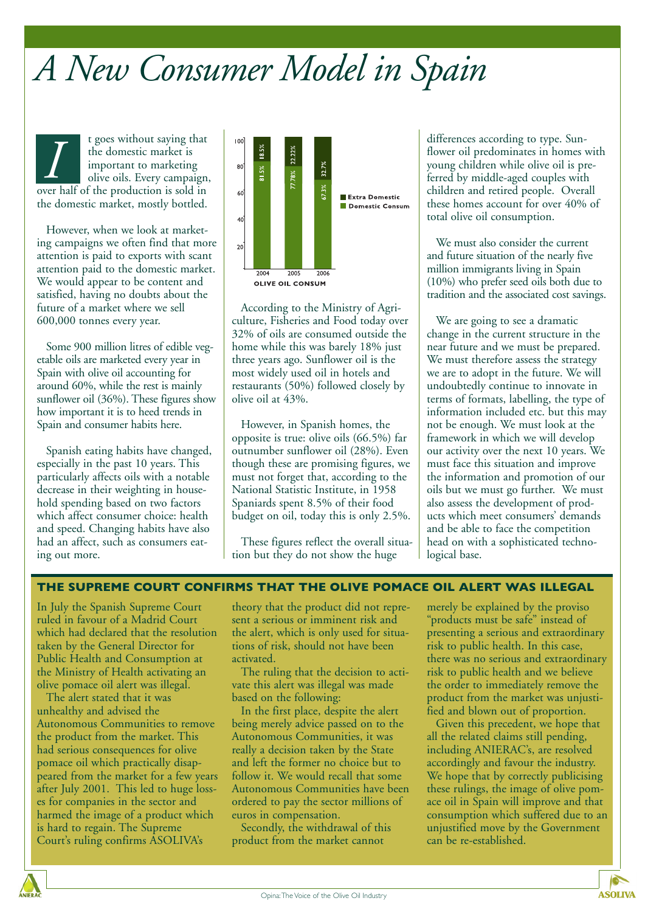# *A New Consumer Model in Spain*

t goes without saying that the domestic market is important to marketing olive oils. Every campaign, The domestic market is<br>
important to marketing<br>
olive oils. Every campaign<br>
over half of the production is sold in the domestic market, mostly bottled.

However, when we look at marketing campaigns we often find that more attention is paid to exports with scant attention paid to the domestic market. We would appear to be content and satisfied, having no doubts about the future of a market where we sell 600,000 tonnes every year.

Some 900 million litres of edible vegetable oils are marketed every year in Spain with olive oil accounting for around 60%, while the rest is mainly sunflower oil (36%). These figures show how important it is to heed trends in Spain and consumer habits here.

Spanish eating habits have changed, especially in the past 10 years. This particularly affects oils with a notable decrease in their weighting in household spending based on two factors which affect consumer choice: health and speed. Changing habits have also had an affect, such as consumers eating out more.



According to the Ministry of Agriculture, Fisheries and Food today over 32% of oils are consumed outside the home while this was barely 18% just three years ago. Sunflower oil is the most widely used oil in hotels and restaurants (50%) followed closely by olive oil at 43%.

However, in Spanish homes, the opposite is true: olive oils (66.5%) far outnumber sunflower oil (28%). Even though these are promising figures, we must not forget that, according to the National Statistic Institute, in 1958 Spaniards spent 8.5% of their food budget on oil, today this is only 2.5%.

These figures reflect the overall situation but they do not show the huge

differences according to type. Sunflower oil predominates in homes with young children while olive oil is preferred by middle-aged couples with children and retired people. Overall these homes account for over 40% of total olive oil consumption.

We must also consider the current and future situation of the nearly five million immigrants living in Spain (10%) who prefer seed oils both due to tradition and the associated cost savings.

We are going to see a dramatic change in the current structure in the near future and we must be prepared. We must therefore assess the strategy we are to adopt in the future. We will undoubtedly continue to innovate in terms of formats, labelling, the type of information included etc. but this may not be enough. We must look at the framework in which we will develop our activity over the next 10 years. We must face this situation and improve the information and promotion of our oils but we must go further. We must also assess the development of products which meet consumers' demands and be able to face the competition head on with a sophisticated technological base.

### **THE SUPREME COURT CONFIRMS THAT THE OLIVE POMACE OIL ALERT WAS ILLEGAL**

In July the Spanish Supreme Court ruled in favour of a Madrid Court which had declared that the resolution taken by the General Director for Public Health and Consumption at the Ministry of Health activating an olive pomace oil alert was illegal.

The alert stated that it was unhealthy and advised the Autonomous Communities to remove the product from the market. This had serious consequences for olive pomace oil which practically disappeared from the market for a few years after July 2001. This led to huge losses for companies in the sector and harmed the image of a product which is hard to regain. The Supreme Court's ruling confirms ASOLIVA's

theory that the product did not represent a serious or imminent risk and the alert, which is only used for situations of risk, should not have been activated.

The ruling that the decision to activate this alert was illegal was made based on the following:

In the first place, despite the alert being merely advice passed on to the Autonomous Communities, it was really a decision taken by the State and left the former no choice but to follow it. We would recall that some Autonomous Communities have been ordered to pay the sector millions of euros in compensation.

Secondly, the withdrawal of this product from the market cannot

merely be explained by the proviso "products must be safe" instead of presenting a serious and extraordinary risk to public health. In this case, there was no serious and extraordinary risk to public health and we believe the order to immediately remove the product from the market was unjustified and blown out of proportion.

Given this precedent, we hope that all the related claims still pending, including ANIERAC's, are resolved accordingly and favour the industry. We hope that by correctly publicising these rulings, the image of olive pomace oil in Spain will improve and that consumption which suffered due to an unjustified move by the Government can be re-established.